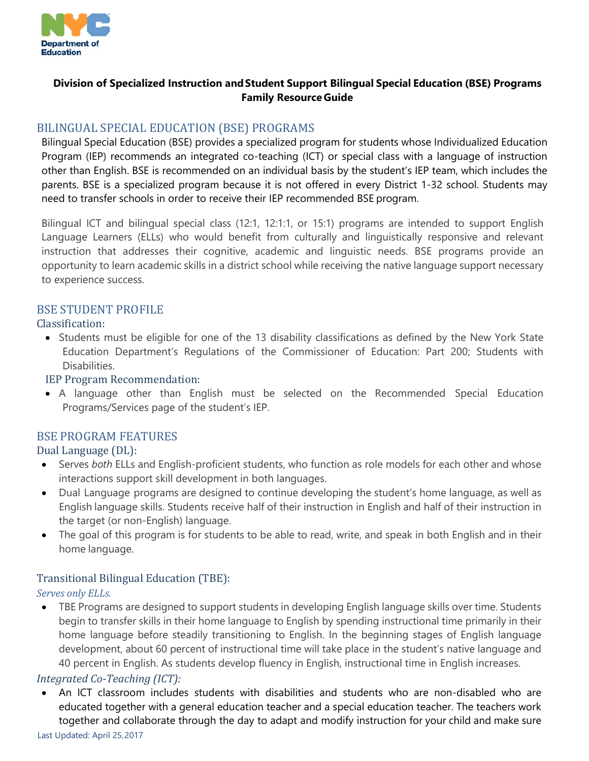

## **Division of Specialized Instruction andStudent Support Bilingual Special Education (BSE) Programs Family Resource Guide**

# BILINGUAL SPECIAL EDUCATION (BSE) PROGRAMS

Bilingual Special Education (BSE) provides a specialized program for students whose Individualized Education Program (IEP) recommends an integrated co-teaching (ICT) or special class with a language of instruction other than English. BSE is recommended on an individual basis by the student's IEP team, which includes the parents. BSE is a specialized program because it is not offered in every District 1-32 school. Students may need to transfer schools in order to receive their IEP recommended BSE program.

Bilingual ICT and bilingual special class (12:1, 12:1:1, or 15:1) programs are intended to support English Language Learners (ELLs) who would benefit from culturally and linguistically responsive and relevant instruction that addresses their cognitive, academic and linguistic needs. BSE programs provide an opportunity to learn academic skills in a district school while receiving the native language support necessary to experience success.

## BSE STUDENT PROFILE

## Classification:

• Students must be eligible for one of the 13 disability classifications as defined by the New York State Education Department's Regulations of the Commissioner of Education: Part 200; Students with Disabilities.

#### IEP Program Recommendation:

• A language other than English must be selected on the Recommended Special Education Programs/Services page of the student's IEP.

# BSE PROGRAM FEATURES

## Dual Language (DL):

- Serves *both* ELLs and English-proficient students, who function as role models for each other and whose interactions support skill development in both languages.
- Dual Language programs are designed to continue developing the student's home language, as well as English language skills. Students receive half of their instruction in English and half of their instruction in the target (or non-English) language.
- The goal of this program is for students to be able to read, write, and speak in both English and in their home language.

## Transitional Bilingual Education (TBE):

## *Serves only ELLs.*

• TBE Programs are designed to support students in developing English language skills over time. Students begin to transfer skills in their home language to English by spending instructional time primarily in their home language before steadily transitioning to English. In the beginning stages of English language development, about 60 percent of instructional time will take place in the student's native language and 40 percent in English. As students develop fluency in English, instructional time in English increases.

## *Integrated Co-Teaching (ICT):*

• An ICT classroom includes students with disabilities and students who are non-disabled who are educated together with a general education teacher and a special education teacher. The teachers work together and collaborate through the day to adapt and modify instruction for your child and make sure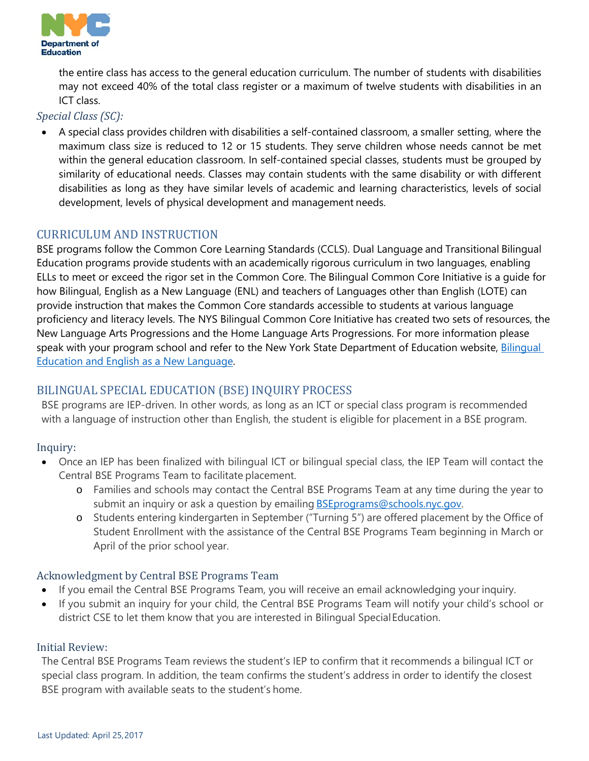

the entire class has access to the general education curriculum. The number of students with disabilities may not exceed 40% of the total class register or a maximum of twelve students with disabilities in an ICT class.

*Special Class (SC):*

• A special class provides children with disabilities a self-contained classroom, a smaller setting, where the maximum class size is reduced to 12 or 15 students. They serve children whose needs cannot be met within the general education classroom. In self-contained special classes, students must be grouped by similarity of educational needs. Classes may contain students with the same disability or with different disabilities as long as they have similar levels of academic and learning characteristics, levels of social development, levels of physical development and management needs.

# CURRICULUM AND INSTRUCTION

BSE programs follow the Common Core Learning Standards (CCLS). Dual Language and Transitional Bilingual Education programs provide students with an academically rigorous curriculum in two languages, enabling ELLs to meet or exceed the rigor set in the Common Core. The Bilingual Common Core Initiative is a guide for how Bilingual, English as a New Language (ENL) and teachers of Languages other than English (LOTE) can provide instruction that makes the Common Core standards accessible to students at various language proficiency and literacy levels. The NYS Bilingual Common Core Initiative has created two sets of resources, the New Language Arts Progressions and the Home Language Arts Progressions. For more information please speak with your program school and refer to the New York State Department of Education website, Bilingual [Education and English as a New](http://www.nysed.gov/bilingual-ed/parents/parents-guide-common-core-state-standards-ccss) [Language.](http://www.nysed.gov/bilingual-ed/parents/parents-guide-common-core-state-standards-ccss)

# BILINGUAL SPECIAL EDUCATION (BSE) INQUIRY PROCESS

BSE programs are IEP-driven. In other words, as long as an ICT or special class program is recommended with a language of instruction other than English, the student is eligible for placement in a BSE program.

# Inquiry:

- Once an IEP has been finalized with bilingual ICT or bilingual special class, the IEP Team will contact the Central BSE Programs Team to facilitate placement.
	- o Families and schools may contact the Central BSE Programs Team at any time during the year to submit an inquiry or ask a question by emailing **[BSEprograms@schools.nyc.gov.](mailto:BSEprograms@schools.nyc.gov)**
	- o Students entering kindergarten in September ("Turning 5") are offered placement by the Office of Student Enrollment with the assistance of the Central BSE Programs Team beginning in March or April of the prior school year.

# Acknowledgment by Central BSE Programs Team

- If you email the Central BSE Programs Team, you will receive an email acknowledging your inquiry.
- If you submit an inquiry for your child, the Central BSE Programs Team will notify your child's school or district CSE to let them know that you are interested in Bilingual SpecialEducation.

## Initial Review:

The Central BSE Programs Team reviews the student's IEP to confirm that it recommends a bilingual ICT or special class program. In addition, the team confirms the student's address in order to identify the closest BSE program with available seats to the student's home.